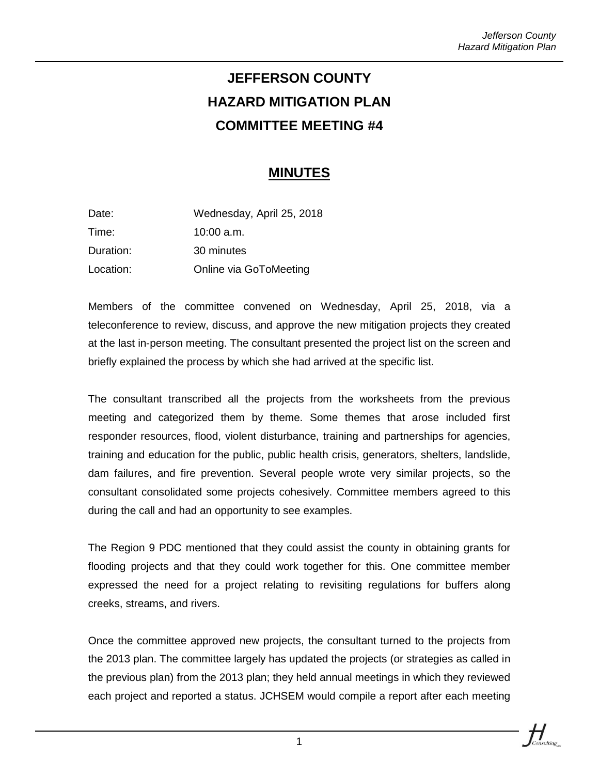## **JEFFERSON COUNTY HAZARD MITIGATION PLAN COMMITTEE MEETING #4**

## **MINUTES**

| Date:     | Wednesday, April 25, 2018 |
|-----------|---------------------------|
| Time:     | $10:00$ a.m.              |
| Duration: | 30 minutes                |
| Location: | Online via GoToMeeting    |

Members of the committee convened on Wednesday, April 25, 2018, via a teleconference to review, discuss, and approve the new mitigation projects they created at the last in-person meeting. The consultant presented the project list on the screen and briefly explained the process by which she had arrived at the specific list.

The consultant transcribed all the projects from the worksheets from the previous meeting and categorized them by theme. Some themes that arose included first responder resources, flood, violent disturbance, training and partnerships for agencies, training and education for the public, public health crisis, generators, shelters, landslide, dam failures, and fire prevention. Several people wrote very similar projects, so the consultant consolidated some projects cohesively. Committee members agreed to this during the call and had an opportunity to see examples.

The Region 9 PDC mentioned that they could assist the county in obtaining grants for flooding projects and that they could work together for this. One committee member expressed the need for a project relating to revisiting regulations for buffers along creeks, streams, and rivers.

Once the committee approved new projects, the consultant turned to the projects from the 2013 plan. The committee largely has updated the projects (or strategies as called in the previous plan) from the 2013 plan; they held annual meetings in which they reviewed each project and reported a status. JCHSEM would compile a report after each meeting



1